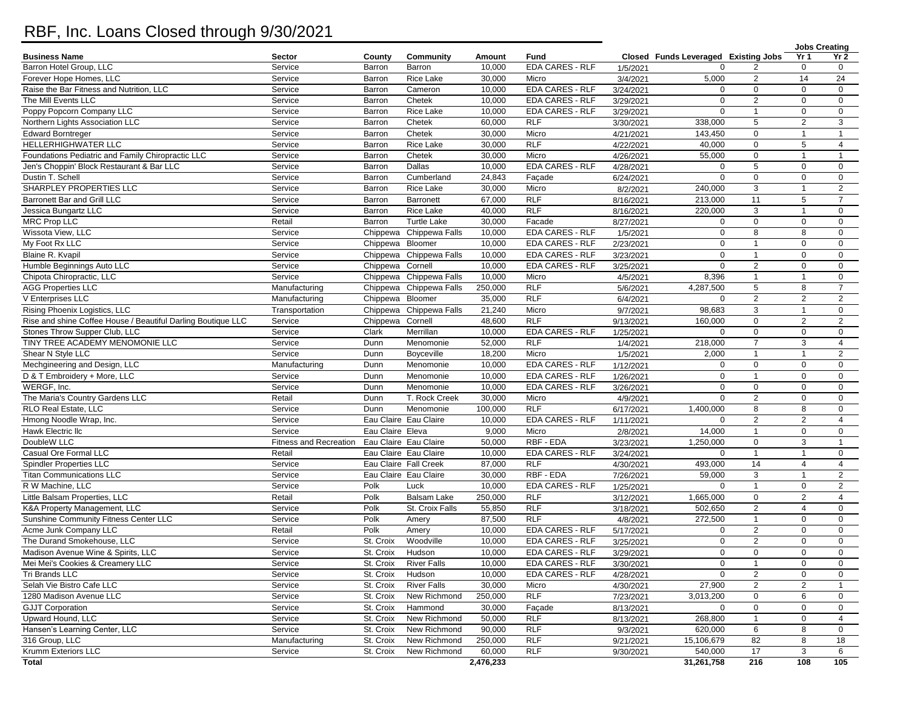## RBF, Inc. Loans Closed through 9/30/2021

|                                                              |                                  |                     |                                                |                   |                                     |           |                                      |                                |                            | <b>Jobs Creating</b>          |
|--------------------------------------------------------------|----------------------------------|---------------------|------------------------------------------------|-------------------|-------------------------------------|-----------|--------------------------------------|--------------------------------|----------------------------|-------------------------------|
| <b>Business Name</b>                                         | <b>Sector</b>                    | County              | Community                                      | Amount            | Fund                                |           | Closed Funds Leveraged Existing Jobs |                                | Yr <sub>1</sub>            | Yr 2                          |
| Barron Hotel Group, LLC                                      | Service                          | Barron              | Barron                                         | 10,000            | EDA CARES - RLF                     | 1/5/2021  | $\Omega$                             | 2                              | $\mathbf 0$                | 0                             |
| Forever Hope Homes, LLC                                      | Service                          | Barron              | Rice Lake                                      | 30,000            | Micro                               | 3/4/2021  | 5,000                                | $\mathbf{2}$                   | 14                         | 24                            |
| Raise the Bar Fitness and Nutrition, LLC                     | Service                          | Barron              | Cameron                                        | 10,000            | <b>EDA CARES - RLF</b>              | 3/24/2021 | $\mathbf 0$                          | $\mathbf 0$                    | $\mathbf 0$                | $\mathbf 0$                   |
| The Mill Events LLC                                          | Service                          | Barron              | Chetek                                         | 10,000            | <b>EDA CARES - RLF</b>              | 3/29/2021 | $\mathbf 0$                          | $\overline{2}$                 | $\mathbf 0$                | $\mathbf 0$                   |
| Poppy Popcorn Company LLC                                    | Service                          | Barron              | Rice Lake                                      | 10,000            | <b>EDA CARES - RLF</b>              | 3/29/2021 | $\mathbf 0$                          | $\mathbf{1}$                   | $\mathbf 0$                | $\mathbf 0$                   |
| Northern Lights Association LLC                              | Service                          | Barron              | Chetek                                         | 60,000            | <b>RLF</b>                          | 3/30/2021 | 338,000                              | 5                              | 2                          | 3                             |
| <b>Edward Borntreger</b>                                     | Service                          | Barron              | Chetek                                         | 30,000            | Micro                               | 4/21/2021 | 143,450                              | $\mathbf{0}$                   | $\mathbf{1}$               | $\overline{1}$                |
| HELLERHIGHWATER LLC                                          | Service                          | Barron              | Rice Lake                                      | 30,000            | <b>RLF</b>                          | 4/22/2021 | 40,000                               | $\mathbf 0$                    | 5                          | 4                             |
| Foundations Pediatric and Family Chiropractic LLC            | Service                          | Barron              | Chetek                                         | 30,000            | Micro                               | 4/26/2021 | 55,000                               | $\mathbf 0$                    | $\mathbf{1}$               | $\mathbf{1}$                  |
| Jen's Choppin' Block Restaurant & Bar LLC                    | Service                          | Barron              | Dallas                                         | 10,000            | <b>EDA CARES - RLF</b>              | 4/28/2021 | $\mathbf 0$                          | 5                              | $\mathbf 0$                | $\mathbf 0$                   |
| Dustin T. Schell                                             | Service                          | Barron              | Cumberland                                     | 24,843            | Façade                              | 6/24/2021 | $\Omega$                             | $\mathsf 0$                    | $\mathbf 0$                | $\mathbf 0$                   |
| SHARPLEY PROPERTIES LLC                                      | Service                          | Barron              | Rice Lake                                      | 30,000            | Micro                               | 8/2/2021  | 240,000                              | 3                              | 1                          | $\overline{2}$                |
| Barronett Bar and Grill LLC                                  | Service                          | Barron              | Barronett                                      | 67,000            | RLF                                 | 8/16/2021 | 213,000                              | 11                             | 5                          | $\overline{7}$                |
| Jessica Bungartz LLC                                         | Service                          | Barron              | <b>Rice Lake</b>                               | 40,000            | RLF                                 | 8/16/2021 | 220,000                              | 3                              | $\mathbf{1}$               | $\mathbf 0$                   |
| <b>MRC Prop LLC</b>                                          | Retail                           | Barron              | <b>Turtle Lake</b>                             | 30,000            | Facade                              | 8/27/2021 | $\mathbf 0$                          | $\mathbf{0}$                   | 0                          | $\mathbf 0$                   |
| Wissota View, LLC                                            | Service                          |                     | Chippewa Chippewa Falls                        | 10,000            | EDA CARES - RLF                     | 1/5/2021  | $\mathbf 0$                          | 8                              | 8                          | $\mathbf 0$                   |
| My Foot Rx LLC                                               | Service                          | Chippewa Bloomer    |                                                | 10,000            | <b>EDA CARES - RLF</b>              | 2/23/2021 | $\mathbf 0$                          | $\mathbf{1}$                   | $\mathbf 0$                | $\mathbf 0$                   |
| Blaine R. Kvapil                                             | Service                          |                     | Chippewa Chippewa Falls                        | 10,000            | EDA CARES - RLF                     | 3/23/2021 | $\mathbf 0$                          | $\mathbf{1}$                   | $\mathbf 0$                | $\mathbf 0$                   |
| Humble Beginnings Auto LLC                                   | Service                          | Chippewa Cornell    |                                                | 10,000            | <b>EDA CARES - RLF</b>              | 3/25/2021 | $\Omega$                             | $\overline{2}$                 | $\mathbf 0$                | $\mathbf 0$                   |
| Chipota Chiropractic. LLC                                    | Service                          |                     | Chippewa Chippewa Falls                        | 10,000            | Micro                               | 4/5/2021  | 8,396                                | $\mathbf{1}$                   | $\mathbf{1}$               | $\mathbf 0$                   |
| <b>AGG Properties LLC</b>                                    | Manufacturing                    |                     | Chippewa Chippewa Falls                        | 250,000           | <b>RLF</b>                          | 5/6/2021  | 4,287,500                            | 5                              | 8                          | $\overline{7}$                |
| V Enterprises LLC                                            | Manufacturing                    | Chippewa Bloomer    |                                                | 35,000            | RLF                                 | 6/4/2021  | $\mathbf 0$                          | $\mathbf{2}$                   | $\overline{2}$             | $\overline{2}$                |
| Rising Phoenix Logistics, LLC                                | Transportation                   |                     | Chippewa Chippewa Falls                        | 21,240            | Micro                               | 9/7/2021  | 98,683                               | 3                              | -1                         | $\mathbf 0$                   |
| Rise and shine Coffee House / Beautiful Darling Boutique LLC | Service                          | Chippewa Cornell    |                                                | 48,600            | <b>RLF</b>                          | 9/13/2021 | 160,000                              | $\mathbf 0$                    | $\overline{2}$             | $\overline{2}$                |
| Stones Throw Supper Club, LLC                                | Service                          | Clark               | Merrillan                                      | 10,000            | <b>EDA CARES - RLF</b>              | 1/25/2021 | $\mathbf 0$                          | $\Omega$<br>$\overline{7}$     | $\mathbf 0$                | $\mathbf 0$                   |
| TINY TREE ACADEMY MENOMONIE LLC                              | Service                          | Dunn                | Menomonie                                      | 52,000            | <b>RLF</b>                          | 1/4/2021  | 218,000                              |                                | 3                          | 4                             |
| Shear N Style LLC                                            | Service                          | Dunn                | Boyceville                                     | 18,200            | Micro                               | 1/5/2021  | 2,000                                | $\mathbf{1}$                   | $\mathbf{1}$               | $\overline{2}$                |
| Mechgineering and Design, LLC                                | Manufacturing                    | Dunn                | Menomonie                                      | 10,000            | EDA CARES - RLF<br>EDA CARES - RLF  | 1/12/2021 | $\Omega$<br>$\mathbf 0$              | $\mathbf 0$<br>$\mathbf{1}$    | 0<br>$\mathbf 0$           | $\mathbf 0$<br>$\mathbf 0$    |
| D & T Embroidery + More, LLC<br>WERGF, Inc.                  | Service                          | Dunn                | Menomonie                                      | 10,000            |                                     | 1/26/2021 |                                      |                                |                            |                               |
|                                                              | Service                          | Dunn                | Menomonie                                      | 10,000            | <b>EDA CARES - RLF</b>              | 3/26/2021 | $\mathbf 0$                          | $\mathbf 0$                    | $\mathbf 0$<br>$\mathbf 0$ | $\mathbf 0$                   |
| The Maria's Country Gardens LLC<br>RLO Real Estate, LLC      | Retail<br>Service                | Dunn<br><b>Dunn</b> | T. Rock Creek                                  | 30,000<br>100,000 | Micro<br><b>RLF</b>                 | 4/9/2021  | $\mathbf 0$                          | $\sqrt{2}$                     |                            | $\mathbf 0$<br>$\mathbf 0$    |
|                                                              |                                  |                     | Menomonie                                      |                   |                                     | 6/17/2021 | 1,400,000                            | 8                              | 8                          |                               |
| Hmong Noodle Wrap, Inc.                                      | Service                          |                     | Eau Claire Eau Claire                          | 10,000<br>9,000   | EDA CARES - RLF                     | 1/11/2021 | $\Omega$<br>14,000                   | $\sqrt{2}$<br>$\mathbf{1}$     | 2<br>$\mathbf 0$           | $\overline{4}$<br>$\mathbf 0$ |
| Hawk Electric IIc<br>DoubleW LLC                             | Service                          | Eau Claire Eleva    |                                                |                   | Micro                               | 2/8/2021  |                                      |                                |                            |                               |
| Casual Ore Formal LLC                                        | Fitness and Recreation<br>Retail |                     | Eau Claire Eau Claire<br>Eau Claire Eau Claire | 50,000<br>10,000  | RBF - EDA<br>EDA CARES - RLF        | 3/23/2021 | 1,250,000<br>$\Omega$                | $\mathbf 0$<br>$\mathbf{1}$    | 3                          | $\mathbf{1}$<br>$\mathbf 0$   |
|                                                              | Service                          |                     | Eau Claire Fall Creek                          | 87,000            | RLF                                 | 3/24/2021 | 493,000                              | 14                             |                            | $\overline{4}$                |
| <b>Spindler Properties LLC</b>                               |                                  |                     |                                                |                   |                                     | 4/30/2021 |                                      |                                | $\overline{4}$             |                               |
| <b>Titan Communications LLC</b><br>R W Machine, LLC          | Service<br>Service               | Polk                | Eau Claire Eau Claire<br>Luck                  | 30,000<br>10,000  | RBF - EDA<br><b>EDA CARES - RLF</b> | 7/26/2021 | 59,000<br>$\Omega$                   | 3<br>$\mathbf{1}$              | $\mathbf 0$                | $\overline{2}$<br>2           |
| Little Balsam Properties, LLC                                |                                  |                     |                                                | 250,000           | <b>RLF</b>                          | 1/25/2021 | 1,665,000                            | $\mathbf 0$                    |                            |                               |
| K&A Property Management, LLC                                 | Retail<br>Service                | Polk<br>Polk        | <b>Balsam Lake</b><br>St. Croix Falls          | 55,850            | <b>RLF</b>                          | 3/12/2021 | 502,650                              | $\sqrt{2}$                     | 2<br>$\overline{4}$        | 4<br>$\mathbf 0$              |
| Sunshine Community Fitness Center LLC                        |                                  | Polk                |                                                | 87,500            | <b>RLF</b>                          | 3/18/2021 | 272,500                              | $\mathbf{1}$                   | $\mathbf 0$                | $\mathbf 0$                   |
|                                                              | Service                          |                     | Amery                                          |                   | EDA CARES - RLF                     | 4/8/2021  |                                      |                                |                            |                               |
| Acme Junk Company LLC                                        | Retail                           | Polk                | Amery                                          | 10,000            | <b>EDA CARES - RLF</b>              | 5/17/2021 | 0<br>$\mathbf 0$                     | $\overline{c}$<br>$\mathbf{2}$ | 0<br>$\mathbf 0$           | $\mathbf 0$<br>$\mathbf 0$    |
| The Durand Smokehouse, LLC                                   | Service                          | St. Croix           | Woodville                                      | 10,000            |                                     | 3/25/2021 | $\Omega$                             |                                |                            |                               |
| Madison Avenue Wine & Spirits, LLC                           | Service                          | St. Croix           | Hudson                                         | 10,000            | EDA CARES - RLF<br>EDA CARES - RLF  | 3/29/2021 |                                      | $\mathbf 0$                    | $\mathbf 0$                | $\mathbf 0$                   |
| Mei Mei's Cookies & Creamery LLC                             | Service                          | St. Croix           | <b>River Falls</b>                             | 10,000            | EDA CARES - RLF                     | 3/30/2021 | $\pmb{0}$<br>$\mathbf 0$             | $\mathbf{1}$                   | $\mathbf 0$                | 0                             |
| Tri Brands LLC<br>Selah Vie Bistro Cafe LLC                  | Service                          | St. Croix           | Hudson                                         | 10,000            |                                     | 4/28/2021 |                                      | $\overline{2}$                 | $\mathbf 0$                | $\mathbf 0$                   |
| 1280 Madison Avenue LLC                                      | Service                          | St. Croix           | <b>River Falls</b><br>New Richmond             | 30,000<br>250,000 | Micro<br><b>RLF</b>                 | 4/30/2021 | 27,900                               | $\overline{c}$<br>$\mathsf 0$  | 2<br>6                     | $\mathbf 1$<br>$\mathbf 0$    |
|                                                              | Service                          | St. Croix           |                                                |                   |                                     | 7/23/2021 | 3,013,200                            |                                |                            |                               |
| <b>GJJT Corporation</b>                                      | Service                          | St. Croix           | Hammond                                        | 30,000            | Façade                              | 8/13/2021 | $\mathbf 0$                          | $\pmb{0}$                      | 0                          | 0                             |
| Upward Hound, LLC                                            | Service                          | St. Croix           | New Richmond                                   | 50,000            | <b>RLF</b>                          | 8/13/2021 | 268,800                              | $\mathbf{1}$                   | $\mathbf 0$                | $\overline{4}$                |
| Hansen's Learning Center, LLC                                | Service                          | St. Croix           | New Richmond                                   | 90,000            | <b>RLF</b>                          | 9/3/2021  | 620,000                              | 6                              | 8                          | $\mathbf 0$                   |
| 316 Group, LLC                                               | Manufacturing                    | St. Croix           | New Richmond                                   | 250,000           | <b>RLF</b>                          | 9/21/2021 | 15,106,679                           | 82                             | 8                          | 18                            |
| Krumm Exteriors LLC<br><b>Total</b>                          | Service                          | St. Croix           | New Richmond                                   | 60,000            | <b>RLF</b>                          | 9/30/2021 | 540,000                              | 17<br>216                      | 3<br>108                   | 6                             |
|                                                              |                                  |                     |                                                | 2,476,233         |                                     |           | 31,261,758                           |                                |                            | 105                           |